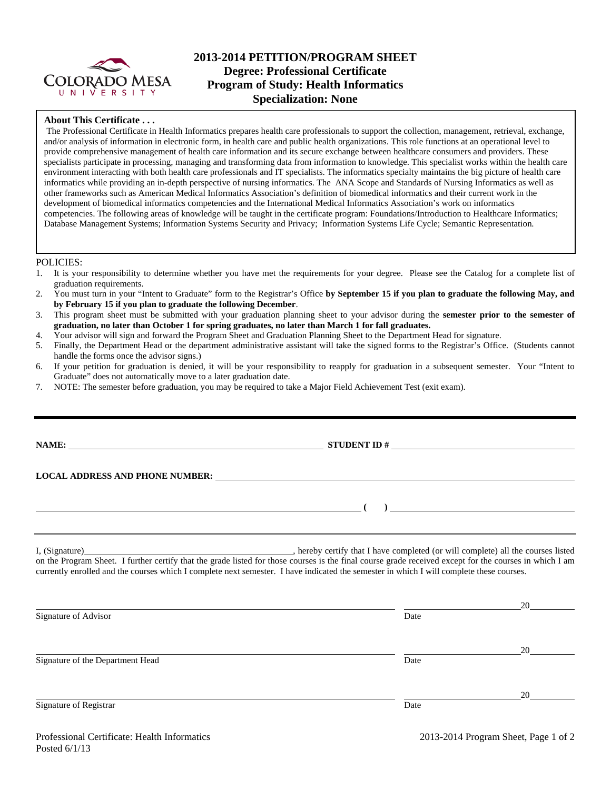

# **2013-2014 PETITION/PROGRAM SHEET Degree: Professional Certificate Program of Study: Health Informatics Specialization: None**

### **About This Certificate . . .**

The Professional Certificate in Health Informatics prepares health care professionals to support the collection, management, retrieval, exchange, and/or analysis of information in electronic form, in health care and public health organizations. This role functions at an operational level to provide comprehensive management of health care information and its secure exchange between healthcare consumers and providers. These specialists participate in processing, managing and transforming data from information to knowledge. This specialist works within the health care environment interacting with both health care professionals and IT specialists. The informatics specialty maintains the big picture of health care informatics while providing an in-depth perspective of nursing informatics. The ANA Scope and Standards of Nursing Informatics as well as other frameworks such as American Medical Informatics Association's definition of biomedical informatics and their current work in the development of biomedical informatics competencies and the International Medical Informatics Association's work on informatics competencies. The following areas of knowledge will be taught in the certificate program: Foundations/Introduction to Healthcare Informatics; Database Management Systems; Information Systems Security and Privacy; Information Systems Life Cycle; Semantic Representation.

### POLICIES:

- 1. It is your responsibility to determine whether you have met the requirements for your degree. Please see the Catalog for a complete list of graduation requirements.
- 2. You must turn in your "Intent to Graduate" form to the Registrar's Office **by September 15 if you plan to graduate the following May, and by February 15 if you plan to graduate the following December**.
- 3. This program sheet must be submitted with your graduation planning sheet to your advisor during the **semester prior to the semester of graduation, no later than October 1 for spring graduates, no later than March 1 for fall graduates.**
- 4. Your advisor will sign and forward the Program Sheet and Graduation Planning Sheet to the Department Head for signature.
- 5. Finally, the Department Head or the department administrative assistant will take the signed forms to the Registrar's Office. (Students cannot handle the forms once the advisor signs.)
- 6. If your petition for graduation is denied, it will be your responsibility to reapply for graduation in a subsequent semester. Your "Intent to Graduate" does not automatically move to a later graduation date.
- 7. NOTE: The semester before graduation, you may be required to take a Major Field Achievement Test (exit exam).

|                | STUDENT ID $\#$                                                                                                                     |
|----------------|-------------------------------------------------------------------------------------------------------------------------------------|
|                |                                                                                                                                     |
|                | $\overline{a}$ (b) and the contract of $\overline{a}$ (c) and the contract of $\overline{a}$ (c) and the contract of $\overline{a}$ |
| I, (Signature) | hereby certify that I have completed (or will complete) all the courses listed                                                      |

on the Program Sheet. I further certify that the grade listed for those courses is the final course grade received except for the courses in which I am currently enrolled and the courses which I complete next semester. I have indicated the semester in which I will complete these courses.

| Signature of Advisor             | Date | 20 |
|----------------------------------|------|----|
| Signature of the Department Head | Date | 20 |
| Signature of Registrar           | Date | 20 |